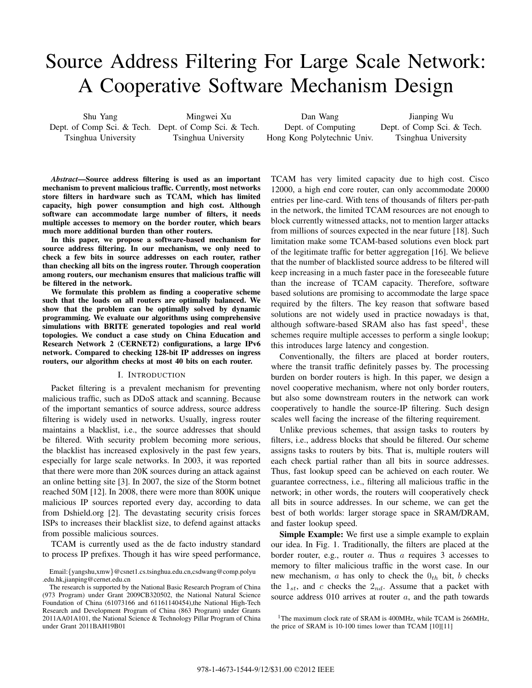# Source Address Filtering For Large Scale Network: A Cooperative Software Mechanism Design

Shu Yang Dept. of Comp Sci. & Tech. Dept. of Comp Sci. & Tech. Tsinghua University

Mingwei Xu Tsinghua University

Dan Wang Dept. of Computing Hong Kong Polytechnic Univ.

Jianping Wu Dept. of Comp Sci. & Tech. Tsinghua University

*Abstract***—Source address filtering is used as an important mechanism to prevent malicious traffic. Currently, most networks store filters in hardware such as TCAM, which has limited capacity, high power consumption and high cost. Although software can accommodate large number of filters, it needs multiple accesses to memory on the border router, which bears much more additional burden than other routers.**

**In this paper, we propose a software-based mechanism for source address filtering. In our mechanism, we only need to check a few bits in source addresses on each router, rather than checking all bits on the ingress router. Through cooperation among routers, our mechanism ensures that malicious traffic will be filtered in the network.**

**We formulate this problem as finding a cooperative scheme such that the loads on all routers are optimally balanced. We show that the problem can be optimally solved by dynamic programming. We evaluate our algorithms using comprehensive simulations with BRITE generated topologies and real world topologies. We conduct a case study on China Education and Research Network 2 (CERNET2) configurations, a large IPv6 network. Compared to checking 128-bit IP addresses on ingress routers, our algorithm checks at most 40 bits on each router.**

#### I. INTRODUCTION

Packet filtering is a prevalent mechanism for preventing malicious traffic, such as DDoS attack and scanning. Because of the important semantics of source address, source address filtering is widely used in networks. Usually, ingress router maintains a blacklist, i.e., the source addresses that should be filtered. With security problem becoming more serious, the blacklist has increased explosively in the past few years, especially for large scale networks. In 2003, it was reported that there were more than 20K sources during an attack against an online betting site [3]. In 2007, the size of the Storm botnet reached 50M [12]. In 2008, there were more than 800K unique malicious IP sources reported every day, according to data from Dshield.org [2]. The devastating security crisis forces ISPs to increases their blacklist size, to defend against attacks from possible malicious sources.

TCAM is currently used as the de facto industry standard to process IP prefixes. Though it has wire speed performance, TCAM has very limited capacity due to high cost. Cisco 12000, a high end core router, can only accommodate 20000 entries per line-card. With tens of thousands of filters per-path in the network, the limited TCAM resources are not enough to block currently witnessed attacks, not to mention larger attacks from millions of sources expected in the near future [18]. Such limitation make some TCAM-based solutions even block part of the legitimate traffic for better aggregation [16]. We believe that the number of blacklisted source address to be filtered will keep increasing in a much faster pace in the foreseeable future than the increase of TCAM capacity. Therefore, software based solutions are promising to accommodate the large space required by the filters. The key reason that software based solutions are not widely used in practice nowadays is that, although software-based SRAM also has fast speed<sup>1</sup>, these schemes require multiple accesses to perform a single lookup; this introduces large latency and congestion.

Conventionally, the filters are placed at border routers, where the transit traffic definitely passes by. The processing burden on border routers is high. In this paper, we design a novel cooperative mechanism, where not only border routers, but also some downstream routers in the network can work cooperatively to handle the source-IP filtering. Such design scales well facing the increase of the filtering requirement.

Unlike previous schemes, that assign tasks to routers by filters, i.e., address blocks that should be filtered. Our scheme assigns tasks to routers by bits. That is, multiple routers will each check partial rather than all bits in source addresses. Thus, fast lookup speed can be achieved on each router. We guarantee correctness, i.e., filtering all malicious traffic in the network; in other words, the routers will cooperatively check all bits in source addresses. In our scheme, we can get the best of both worlds: larger storage space in SRAM/DRAM, and faster lookup speed.

**Simple Example:** We first use a simple example to explain our idea. In Fig. 1. Traditionally, the filters are placed at the border router, e.g., router *a*. Thus *a* requires 3 accesses to memory to filter malicious traffic in the worst case. In our new mechanism, *a* has only to check the  $0<sub>th</sub>$  bit, *b* checks the  $1_{st}$ , and *c* checks the  $2_{nd}$ . Assume that a packet with source address 010 arrives at router *a*, and the path towards

Email:{yangshu,xmw}@csnet1.cs.tsinghua.edu.cn,csdwang@comp.polyu .edu.hk,jianping@cernet.edu.cn

The research is supported by the National Basic Research Program of China (973 Program) under Grant 2009CB320502, the National Natural Science Foundation of China (61073166 and 61161140454),the National High-Tech Research and Development Program of China (863 Program) under Grants 2011AA01A101, the National Science & Technology Pillar Program of China under Grant 2011BAH19B01

<sup>&</sup>lt;sup>1</sup>The maximum clock rate of SRAM is 400MHz, while TCAM is 266MHz, the price of SRAM is 10-100 times lower than TCAM [10][11]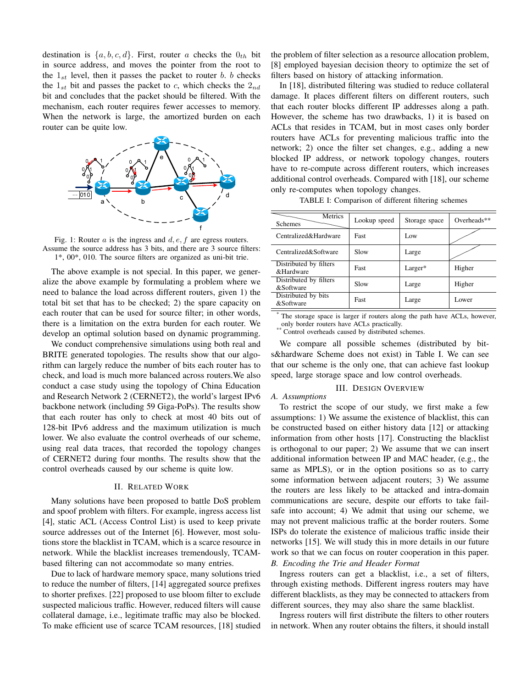destination is  $\{a, b, c, d\}$ . First, router *a* checks the  $0<sub>th</sub>$  bit in source address, and moves the pointer from the root to the  $1_{st}$  level, then it passes the packet to router *b*. *b* checks the  $1_{st}$  bit and passes the packet to  $c$ , which checks the  $2_{nd}$ bit and concludes that the packet should be filtered. With the mechanism, each router requires fewer accesses to memory. When the network is large, the amortized burden on each router can be quite low.



Fig. 1: Router *a* is the ingress and *d, e, f* are egress routers. Assume the source address has 3 bits, and there are 3 source filters: 1\*, 00\*, 010. The source filters are organized as uni-bit trie.

The above example is not special. In this paper, we generalize the above example by formulating a problem where we need to balance the load across different routers, given 1) the total bit set that has to be checked; 2) the spare capacity on each router that can be used for source filter; in other words, there is a limitation on the extra burden for each router. We develop an optimal solution based on dynamic programming.

We conduct comprehensive simulations using both real and BRITE generated topologies. The results show that our algorithm can largely reduce the number of bits each router has to check, and load is much more balanced across routers.We also conduct a case study using the topology of China Education and Research Network 2 (CERNET2), the world's largest IPv6 backbone network (including 59 Giga-PoPs). The results show that each router has only to check at most 40 bits out of 128-bit IPv6 address and the maximum utilization is much lower. We also evaluate the control overheads of our scheme, using real data traces, that recorded the topology changes of CERNET2 during four months. The results show that the control overheads caused by our scheme is quite low.

#### II. RELATED WORK

Many solutions have been proposed to battle DoS problem and spoof problem with filters. For example, ingress access list [4], static ACL (Access Control List) is used to keep private source addresses out of the Internet [6]. However, most solutions store the blacklist in TCAM, which is a scarce resource in network. While the blacklist increases tremendously, TCAMbased filtering can not accommodate so many entries.

Due to lack of hardware memory space, many solutions tried to reduce the number of filters, [14] aggregated source prefixes to shorter prefixes. [22] proposed to use bloom filter to exclude suspected malicious traffic. However, reduced filters will cause collateral damage, i.e., legitimate traffic may also be blocked. To make efficient use of scarce TCAM resources, [18] studied the problem of filter selection as a resource allocation problem, [8] employed bayesian decision theory to optimize the set of filters based on history of attacking information.

In [18], distributed filtering was studied to reduce collateral damage. It places different filters on different routers, such that each router blocks different IP addresses along a path. However, the scheme has two drawbacks, 1) it is based on ACLs that resides in TCAM, but in most cases only border routers have ACLs for preventing malicious traffic into the network; 2) once the filter set changes, e.g., adding a new blocked IP address, or network topology changes, routers have to re-compute across different routers, which increases additional control overheads. Compared with [18], our scheme only re-computes when topology changes.

TABLE I: Comparison of different filtering schemes

| Metrics<br><b>Schemes</b>           | Lookup speed | Storage space | Overheads $**$ |
|-------------------------------------|--------------|---------------|----------------|
| Centralized&Hardware                | Fast         | Low           |                |
| Centralized&Software                | Slow         | Large         |                |
| Distributed by filters<br>&Hardware | Fast         | $Larger*$     | Higher         |
| Distributed by filters<br>&Software | Slow         | Large         | Higher         |
| Distributed by bits<br>&Software    | Fast         | Large         | Lower          |

The storage space is larger if routers along the path have ACLs, however, only border routers have ACLs practically.

\*\* Control overheads caused by distributed schemes.

We compare all possible schemes (distributed by bits&hardware Scheme does not exist) in Table I. We can see that our scheme is the only one, that can achieve fast lookup speed, large storage space and low control overheads.

## III. DESIGN OVERVIEW

## *A. Assumptions*

To restrict the scope of our study, we first make a few assumptions: 1) We assume the existence of blacklist, this can be constructed based on either history data [12] or attacking information from other hosts [17]. Constructing the blacklist is orthogonal to our paper; 2) We assume that we can insert additional information between IP and MAC header, (e.g., the same as MPLS), or in the option positions so as to carry some information between adjacent routers; 3) We assume the routers are less likely to be attacked and intra-domain communications are secure, despite our efforts to take failsafe into account; 4) We admit that using our scheme, we may not prevent malicious traffic at the border routers. Some ISPs do tolerate the existence of malicious traffic inside their networks [15]. We will study this in more details in our future work so that we can focus on router cooperation in this paper.

## *B. Encoding the Trie and Header Format*

Ingress routers can get a blacklist, i.e., a set of filters, through existing methods. Different ingress routers may have different blacklists, as they may be connected to attackers from different sources, they may also share the same blacklist.

Ingress routers will first distribute the filters to other routers in network. When any router obtains the filters, it should install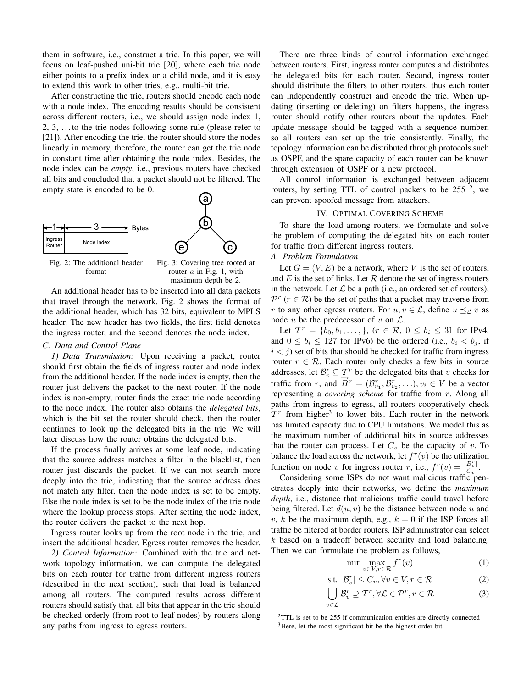them in software, i.e., construct a trie. In this paper, we will focus on leaf-pushed uni-bit trie [20], where each trie node either points to a prefix index or a child node, and it is easy to extend this work to other tries, e.g., multi-bit trie.

After constructing the trie, routers should encode each node with a node index. The encoding results should be consistent across different routers, i.e., we should assign node index 1, 2, 3, . . . to the trie nodes following some rule (please refer to [21]). After encoding the trie, the router should store the nodes linearly in memory, therefore, the router can get the trie node in constant time after obtaining the node index. Besides, the node index can be *empty*, i.e., previous routers have checked all bits and concluded that a packet should not be filtered. The empty state is encoded to be 0.





Fig. 3: Covering tree rooted at router *a* in Fig. 1, with maximum depth be 2.

An additional header has to be inserted into all data packets that travel through the network. Fig. 2 shows the format of the additional header, which has 32 bits, equivalent to MPLS header. The new header has two fields, the first field denotes the ingress router, and the second denotes the node index.

#### *C. Data and Control Plane*

*1) Data Transmission:* Upon receiving a packet, router should first obtain the fields of ingress router and node index from the additional header. If the node index is empty, then the router just delivers the packet to the next router. If the node index is non-empty, router finds the exact trie node according to the node index. The router also obtains the *delegated bits*, which is the bit set the router should check, then the router continues to look up the delegated bits in the trie. We will later discuss how the router obtains the delegated bits.

If the process finally arrives at some leaf node, indicating that the source address matches a filter in the blacklist, then router just discards the packet. If we can not search more deeply into the trie, indicating that the source address does not match any filter, then the node index is set to be empty. Else the node index is set to be the node index of the trie node where the lookup process stops. After setting the node index, the router delivers the packet to the next hop.

Ingress router looks up from the root node in the trie, and insert the additional header. Egress router removes the header.

*2) Control Information:* Combined with the trie and network topology information, we can compute the delegated bits on each router for traffic from different ingress routers (described in the next section), such that load is balanced among all routers. The computed results across different routers should satisfy that, all bits that appear in the trie should be checked orderly (from root to leaf nodes) by routers along any paths from ingress to egress routers.

There are three kinds of control information exchanged between routers. First, ingress router computes and distributes the delegated bits for each router. Second, ingress router should distribute the filters to other routers. thus each router can independently construct and encode the trie. When updating (inserting or deleting) on filters happens, the ingress router should notify other routers about the updates. Each update message should be tagged with a sequence number, so all routers can set up the trie consistently. Finally, the topology information can be distributed through protocols such as OSPF, and the spare capacity of each router can be known through extension of OSPF or a new protocol.

All control information is exchanged between adjacent routers, by setting TTL of control packets to be  $255<sup>2</sup>$ , we can prevent spoofed message from attackers.

## IV. OPTIMAL COVERING SCHEME

To share the load among routers, we formulate and solve the problem of computing the delegated bits on each router for traffic from different ingress routers.

*A. Problem Formulation*

Let  $G = (V, E)$  be a network, where V is the set of routers, and  $E$  is the set of links. Let  $R$  denote the set of ingress routers in the network. Let  $\mathcal L$  be a path (i.e., an ordered set of routers),  $\mathcal{P}^r$  ( $r \in \mathcal{R}$ ) be the set of paths that a packet may traverse from *r* to any other egress routers. For  $u, v \in \mathcal{L}$ , define  $u \preceq_{\mathcal{L}} v$  as node  $u$  be the predecessor of  $v$  on  $\mathcal{L}$ .

Let  $T^r = \{b_0, b_1, \ldots, \}, \, (r \in \mathcal{R}, \, 0 \leq b_i \leq 31 \, \text{ for IPv4}, \,$ and  $0 \leq b_i \leq 127$  for IPv6) be the ordered (i.e.,  $b_i < b_j$ , if  $i < j$ ) set of bits that should be checked for traffic from ingress router  $r \in \mathcal{R}$ . Each router only checks a few bits in source addresses, let  $\mathcal{B}_{v}^{r} \subseteq \mathcal{T}^{r}$  be the delegated bits that *v* checks for traffic from *r*, and  $\vec{B}^r = (\mathcal{B}_{v_1}^r, \mathcal{B}_{v_2}^r, \ldots), v_i \in V$  be a vector representing a *covering scheme* for traffic from *r*. Along all paths from ingress to egress, all routers cooperatively check  $T<sup>r</sup>$  from higher<sup>3</sup> to lower bits. Each router in the network has limited capacity due to CPU limitations. We model this as the maximum number of additional bits in source addresses that the router can process. Let  $C_v$  be the capacity of  $v$ . To balance the load across the network, let  $f^r(v)$  be the utilization function on node *v* for ingress router *r*, i.e.,  $f^r(v) = \frac{|B^r_v|}{C_v}$ .

Considering some ISPs do not want malicious traffic penetrates deeply into their networks, we define the *maximum depth*, i.e., distance that malicious traffic could travel before being filtered. Let  $d(u, v)$  be the distance between node  $u$  and *v*, *k* be the maximum depth, e.g.,  $k = 0$  if the ISP forces all traffic be filtered at border routers. ISP administrator can select *k* based on a tradeoff between security and load balancing. Then we can formulate the problem as follows,

$$
\min \max_{v \in V, r \in \mathcal{R}} f^r(v) \tag{1}
$$

$$
\text{s.t. } |\mathcal{B}_v^r| \le C_v, \forall v \in V, r \in \mathcal{R} \tag{2}
$$

$$
\bigcup_{v \in \mathcal{L}} \mathcal{B}_v^r \supseteq \mathcal{T}^r, \forall \mathcal{L} \in \mathcal{P}^r, r \in \mathcal{R}
$$
 (3)

<sup>&</sup>lt;sup>2</sup>TTL is set to be 255 if communication entities are directly connected <sup>3</sup>Here, let the most significant bit be the highest order bit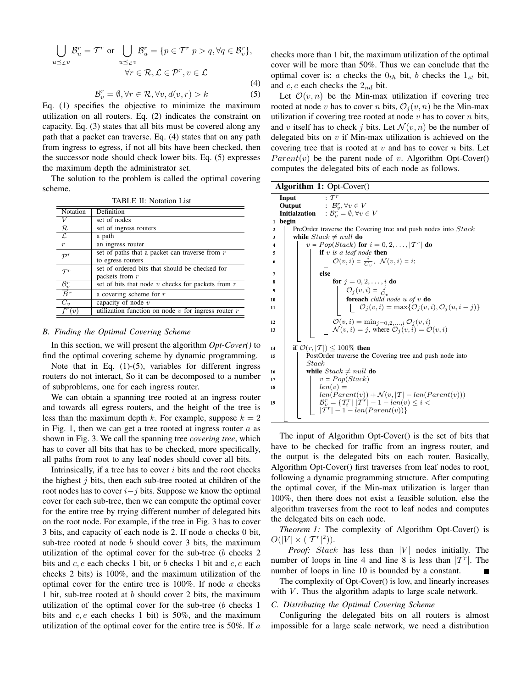$$
\bigcup_{u \preceq_{\mathcal{L}} v} \mathcal{B}_u^r = \mathcal{T}^r \text{ or } \bigcup_{u \preceq_{\mathcal{L}} v} \mathcal{B}_u^r = \{ p \in \mathcal{T}^r | p > q, \forall q \in \mathcal{B}_v^r \},
$$
  

$$
\forall r \in \mathcal{R}, \mathcal{L} \in \mathcal{P}^r, v \in \mathcal{L}
$$
  
(4)

$$
\mathcal{B}_v^r = \emptyset, \forall r \in \mathcal{R}, \forall v, d(v, r) > k \tag{5}
$$

Eq. (1) specifies the objective to minimize the maximum utilization on all routers. Eq. (2) indicates the constraint on capacity. Eq. (3) states that all bits must be covered along any path that a packet can traverse. Eq. (4) states that on any path from ingress to egress, if not all bits have been checked, then the successor node should check lower bits. Eq. (5) expresses the maximum depth the administrator set.

The solution to the problem is called the optimal covering scheme.

|        | <b>TABLE II: Notation List</b> |
|--------|--------------------------------|
|        |                                |
| lefton |                                |

| Notation                                             | Definition                                              |
|------------------------------------------------------|---------------------------------------------------------|
|                                                      | set of nodes                                            |
| $\mathcal R$                                         | set of ingress routers                                  |
| L                                                    | a path                                                  |
| $\boldsymbol{r}$                                     | an ingress router                                       |
| $\mathcal{P}^\tau$                                   | set of paths that a packet can traverse from r          |
|                                                      | to egress routers                                       |
| $\mathcal{T}^r$                                      | set of ordered bits that should be checked for          |
|                                                      | packets from $r$                                        |
| $\frac{\mathcal{B}^{r}_{v}}{\overrightarrow{B}^{r}}$ | set of bits that node $v$ checks for packets from $r$   |
|                                                      | a covering scheme for $r$                               |
| $C_v$                                                | capacity of node $v$                                    |
|                                                      | utilization function on node $v$ for ingress router $r$ |

#### *B. Finding the Optimal Covering Scheme*

In this section, we will present the algorithm *Opt-Cover()* to find the optimal covering scheme by dynamic programming.

Note that in Eq. (1)-(5), variables for different ingress routers do not interact, So it can be decomposed to a number of subproblems, one for each ingress router.

We can obtain a spanning tree rooted at an ingress router and towards all egress routers, and the height of the tree is less than the maximum depth  $k$ . For example, suppose  $k = 2$ in Fig. 1, then we can get a tree rooted at ingress router *a* as shown in Fig. 3. We call the spanning tree *covering tree*, which has to cover all bits that has to be checked, more specifically, all paths from root to any leaf nodes should cover all bits.

Intrinsically, if a tree has to cover *i* bits and the root checks the highest *j* bits, then each sub-tree rooted at children of the root nodes has to cover *i*−*j* bits. Suppose we know the optimal cover for each sub-tree, then we can compute the optimal cover for the entire tree by trying different number of delegated bits on the root node. For example, if the tree in Fig. 3 has to cover 3 bits, and capacity of each node is 2. If node *a* checks 0 bit, sub-tree rooted at node *b* should cover 3 bits, the maximum utilization of the optimal cover for the sub-tree (*b* checks 2 bits and *c, e* each checks 1 bit, or *b* checks 1 bit and *c, e* each checks 2 bits) is 100%, and the maximum utilization of the optimal cover for the entire tree is 100%. If node *a* checks 1 bit, sub-tree rooted at *b* should cover 2 bits, the maximum utilization of the optimal cover for the sub-tree (*b* checks 1 bits and *c, e* each checks 1 bit) is 50%, and the maximum utilization of the optimal cover for the entire tree is 50%. If *a*

checks more than 1 bit, the maximum utilization of the optimal cover will be more than 50%. Thus we can conclude that the optimal cover is:  $a$  checks the  $0<sub>th</sub>$  bit,  $b$  checks the  $1<sub>st</sub>$  bit, and *c, e* each checks the 2*nd* bit.

Let  $\mathcal{O}(v, n)$  be the Min-max utilization if covering tree rooted at node *v* has to cover *n* bits,  $\mathcal{O}_i(v, n)$  be the Min-max utilization if covering tree rooted at node *v* has to cover *n* bits, and *v* itself has to check *j* bits. Let  $\mathcal{N}(v, n)$  be the number of delegated bits on *v* if Min-max utilization is achieved on the covering tree that is rooted at  $v$  and has to cover  $n$  bits. Let *Parent*( $v$ ) be the parent node of  $v$ . Algorithm Opt-Cover() computes the delegated bits of each node as follows.

|  |  | <b>Algorithm 1: Opt-Cover()</b> |
|--|--|---------------------------------|
|--|--|---------------------------------|

|                | $\cdot$ $\tau$ <sup>r</sup><br>Input                                                                                                                                       |
|----------------|----------------------------------------------------------------------------------------------------------------------------------------------------------------------------|
|                | $\colon\; \mathcal{B}_{v}^{r}, \forall v\in V$<br>Output                                                                                                                   |
|                | <b>Initialzation</b> : $\mathcal{B}_v^r = \emptyset, \forall v \in V$                                                                                                      |
| $\mathbf{1}$   | begin                                                                                                                                                                      |
| $\overline{2}$ | PreOrder traverse the Covering tree and push nodes into <i>Stack</i>                                                                                                       |
| 3              | while $Stack \neq null$ do                                                                                                                                                 |
| 4              | $v = Pop(Stack)$ for $i = 0, 2, ,  Tr $ do                                                                                                                                 |
| 5              | <b>if</b> v is a leaf node <b>then</b>                                                                                                                                     |
| 6              | $\mathcal{O}(v,i) = \frac{i}{C_v}, \mathcal{N}(v,i) = i;$                                                                                                                  |
| 7              | else                                                                                                                                                                       |
| 8              | <b>for</b> $i = 0, 2, , i$ <b>do</b>                                                                                                                                       |
| 9              | $\mathcal{O}_j(v, i) = \frac{j}{C_v}$                                                                                                                                      |
| 10             | foreach child node $u$ of $v$ do                                                                                                                                           |
| 11             | $\mathcal{O}_j(v, i) = \max\{\mathcal{O}_j(v, i), \mathcal{O}_j(u, i - j)\}\$                                                                                              |
| 12             | $\mathcal{O}(v,i) = \min_{i=0,2,\ldots,i} \mathcal{O}_i(v,i)$                                                                                                              |
| 13             | $\mathcal{N}(v, i) = j$ , where $\mathcal{O}_j(v, i) = \mathcal{O}(v, i)$                                                                                                  |
|                |                                                                                                                                                                            |
| 14             | if $\mathcal{O}(r, \mathcal{T} ) \leq 100\%$ then                                                                                                                          |
| 15             | PostOrder traverse the Covering tree and push node into                                                                                                                    |
|                | Stack                                                                                                                                                                      |
| 16             | while $Stack \neq null$ do                                                                                                                                                 |
| 17             | $v = Pop(Stack)$                                                                                                                                                           |
| 18             | $len(v) =$                                                                                                                                                                 |
| 19             | $len(Parent(v)) + \mathcal{N}(v,  \mathcal{T}  - len(Parent(v)))$<br>$\mathcal{B}_{v}^{r} = \{T_{i}^{r}    T^{r}  - 1 - len(v) \leq i <$<br>$ T^r  - 1 - len(Parent(v))\}$ |

The input of Algorithm Opt-Cover() is the set of bits that have to be checked for traffic from an ingress router, and the output is the delegated bits on each router. Basically, Algorithm Opt-Cover() first traverses from leaf nodes to root, following a dynamic programming structure. After computing the optimal cover, if the Min-max utilization is larger than 100%, then there does not exist a feasible solution. else the algorithm traverses from the root to leaf nodes and computes the delegated bits on each node.

*Theorem 1:* The complexity of Algorithm Opt-Cover() is  $O(|V| \times (|\mathcal{T}^r|^2)).$ 

*Proof: Stack* has less than |*V*| nodes initially. The number of loops in line 4 and line 8 is less than  $|T^r|$ . The number of loops in line 10 is bounded by a constant.

The complexity of Opt-Cover() is low, and linearly increases with *V*. Thus the algorithm adapts to large scale network.

#### *C. Distributing the Optimal Covering Scheme*

Configuring the delegated bits on all routers is almost impossible for a large scale network, we need a distribution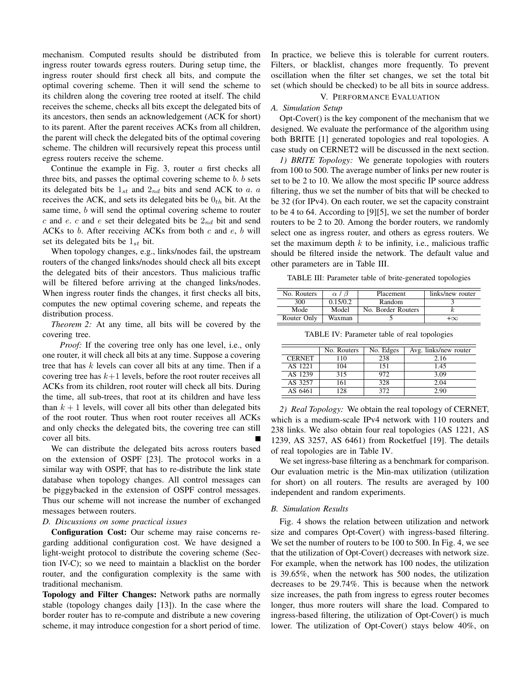mechanism. Computed results should be distributed from ingress router towards egress routers. During setup time, the ingress router should first check all bits, and compute the optimal covering scheme. Then it will send the scheme to its children along the covering tree rooted at itself. The child receives the scheme, checks all bits except the delegated bits of its ancestors, then sends an acknowledgement (ACK for short) to its parent. After the parent receives ACKs from all children, the parent will check the delegated bits of the optimal covering scheme. The children will recursively repeat this process until egress routers receive the scheme.

Continue the example in Fig. 3, router *a* first checks all three bits, and passes the optimal covering scheme to *b*. *b* sets its delegated bits be  $1_{st}$  and  $2_{nd}$  bits and send ACK to *a*. *a* receives the ACK, and sets its delegated bits be 0*th* bit. At the same time, *b* will send the optimal covering scheme to router *c* and *e*. *c* and *e* set their delegated bits be  $2_{nd}$  bit and send ACKs to *b*. After receiving ACKs from both *c* and *e*, *b* will set its delegated bits be 1*st* bit.

When topology changes, e.g., links/nodes fail, the upstream routers of the changed links/nodes should check all bits except the delegated bits of their ancestors. Thus malicious traffic will be filtered before arriving at the changed links/nodes. When ingress router finds the changes, it first checks all bits, computes the new optimal covering scheme, and repeats the distribution process.

*Theorem 2:* At any time, all bits will be covered by the covering tree.

*Proof:* If the covering tree only has one level, i.e., only one router, it will check all bits at any time. Suppose a covering tree that has *k* levels can cover all bits at any time. Then if a covering tree has  $k+1$  levels, before the root router receives all ACKs from its children, root router will check all bits. During the time, all sub-trees, that root at its children and have less than  $k + 1$  levels, will cover all bits other than delegated bits of the root router. Thus when root router receives all ACKs and only checks the delegated bits, the covering tree can still cover all bits.

We can distribute the delegated bits across routers based on the extension of OSPF [23]. The protocol works in a similar way with OSPF, that has to re-distribute the link state database when topology changes. All control messages can be piggybacked in the extension of OSPF control messages. Thus our scheme will not increase the number of exchanged messages between routers.

#### *D. Discussions on some practical issues*

**Configuration Cost:** Our scheme may raise concerns regarding additional configuration cost. We have designed a light-weight protocol to distribute the covering scheme (Section IV-C); so we need to maintain a blacklist on the border router, and the configuration complexity is the same with traditional mechanism.

**Topology and Filter Changes:** Network paths are normally stable (topology changes daily [13]). In the case where the border router has to re-compute and distribute a new covering scheme, it may introduce congestion for a short period of time. In practice, we believe this is tolerable for current routers. Filters, or blacklist, changes more frequently. To prevent oscillation when the filter set changes, we set the total bit set (which should be checked) to be all bits in source address.

## V. PERFORMANCE EVALUATION

### *A. Simulation Setup*

Opt-Cover() is the key component of the mechanism that we designed. We evaluate the performance of the algorithm using both BRITE [1] generated topologies and real topologies. A case study on CERNET2 will be discussed in the next section.

*1) BRITE Topology:* We generate topologies with routers from 100 to 500. The average number of links per new router is set to be 2 to 10. We allow the most specific IP source address filtering, thus we set the number of bits that will be checked to be 32 (for IPv4). On each router, we set the capacity constraint to be 4 to 64. According to [9][5], we set the number of border routers to be 2 to 20. Among the border routers, we randomly select one as ingress router, and others as egress routers. We set the maximum depth *k* to be infinity, i.e., malicious traffic should be filtered inside the network. The default value and other parameters are in Table III.

TABLE III: Parameter table of brite-generated topologies

| No. Routers | $\alpha$ / $\beta$ | Placement          | links/new router |
|-------------|--------------------|--------------------|------------------|
| 300         | 0.15/0.2           | Random             |                  |
| Mode        | Model              | No. Border Routers |                  |
| Router Only | Waxman             |                    | $+\infty$        |

| TABLE IV: Parameter table of real topologies |  |  |  |  |
|----------------------------------------------|--|--|--|--|
|----------------------------------------------|--|--|--|--|

|                      | No. Routers | No. Edges | Avg. links/new router |
|----------------------|-------------|-----------|-----------------------|
| <b>CERNET</b>        | 110         | 238       | 2.16                  |
| AS 1221              | 104         | 151       | 1.45                  |
| AS 1239              | 315         | 972       | 3.09                  |
| AS $325\overline{7}$ | 161         | 328       | 2.04                  |
| AS 6461              | 128         | 372       | 2.90                  |

*2) Real Topology:* We obtain the real topology of CERNET, which is a medium-scale IPv4 network with 110 routers and 238 links. We also obtain four real topologies (AS 1221, AS 1239, AS 3257, AS 6461) from Rocketfuel [19]. The details of real topologies are in Table IV.

We set ingress-base filtering as a benchmark for comparison. Our evaluation metric is the Min-max utilization (utilization for short) on all routers. The results are averaged by 100 independent and random experiments.

#### *B. Simulation Results*

Fig. 4 shows the relation between utilization and network size and compares Opt-Cover() with ingress-based filtering. We set the number of routers to be 100 to 500. In Fig. 4, we see that the utilization of Opt-Cover() decreases with network size. For example, when the network has 100 nodes, the utilization is 39.65%, when the network has 500 nodes, the utilization decreases to be 29.74%. This is because when the network size increases, the path from ingress to egress router becomes longer, thus more routers will share the load. Compared to ingress-based filtering, the utilization of Opt-Cover() is much lower. The utilization of Opt-Cover() stays below 40%, on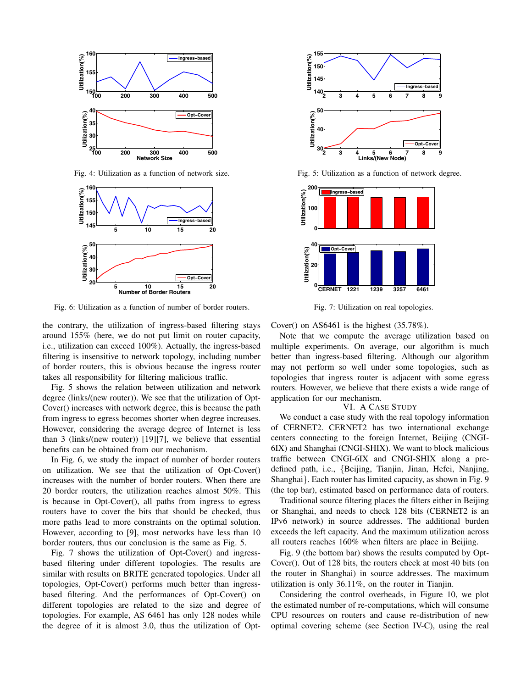

Fig. 4: Utilization as a function of network size.



Fig. 6: Utilization as a function of number of border routers.

the contrary, the utilization of ingress-based filtering stays around 155% (here, we do not put limit on router capacity, i.e., utilization can exceed 100%). Actually, the ingress-based filtering is insensitive to network topology, including number of border routers, this is obvious because the ingress router takes all responsibility for filtering malicious traffic.

Fig. 5 shows the relation between utilization and network degree (links/(new router)). We see that the utilization of Opt-Cover() increases with network degree, this is because the path from ingress to egress becomes shorter when degree increases. However, considering the average degree of Internet is less than 3 (links/(new router)) [19][7], we believe that essential benefits can be obtained from our mechanism.

In Fig. 6, we study the impact of number of border routers on utilization. We see that the utilization of Opt-Cover() increases with the number of border routers. When there are 20 border routers, the utilization reaches almost 50%. This is because in Opt-Cover(), all paths from ingress to egress routers have to cover the bits that should be checked, thus more paths lead to more constraints on the optimal solution. However, according to [9], most networks have less than 10 border routers, thus our conclusion is the same as Fig. 5.

Fig. 7 shows the utilization of Opt-Cover() and ingressbased filtering under different topologies. The results are similar with results on BRITE generated topologies. Under all topologies, Opt-Cover() performs much better than ingressbased filtering. And the performances of Opt-Cover() on different topologies are related to the size and degree of topologies. For example, AS 6461 has only 128 nodes while the degree of it is almost 3.0, thus the utilization of Opt-



Fig. 5: Utilization as a function of network degree.



Fig. 7: Utilization on real topologies.

Cover() on AS6461 is the highest (35.78%).

Note that we compute the average utilization based on multiple experiments. On average, our algorithm is much better than ingress-based filtering. Although our algorithm may not perform so well under some topologies, such as topologies that ingress router is adjacent with some egress routers. However, we believe that there exists a wide range of application for our mechanism.

## VI. A CASE STUDY

We conduct a case study with the real topology information of CERNET2. CERNET2 has two international exchange centers connecting to the foreign Internet, Beijing (CNGI-6IX) and Shanghai (CNGI-SHIX). We want to block malicious traffic between CNGI-6IX and CNGI-SHIX along a predefined path, i.e., {Beijing, Tianjin, Jinan, Hefei, Nanjing, Shanghai}. Each router has limited capacity, as shown in Fig. 9 (the top bar), estimated based on performance data of routers.

Traditional source filtering places the filters either in Beijing or Shanghai, and needs to check 128 bits (CERNET2 is an IPv6 network) in source addresses. The additional burden exceeds the left capacity. And the maximum utilization across all routers reaches 160% when filters are place in Beijing.

Fig. 9 (the bottom bar) shows the results computed by Opt-Cover(). Out of 128 bits, the routers check at most 40 bits (on the router in Shanghai) in source addresses. The maximum utilization is only 36.11%, on the router in Tianjin.

Considering the control overheads, in Figure 10, we plot the estimated number of re-computations, which will consume CPU resources on routers and cause re-distribution of new optimal covering scheme (see Section IV-C), using the real